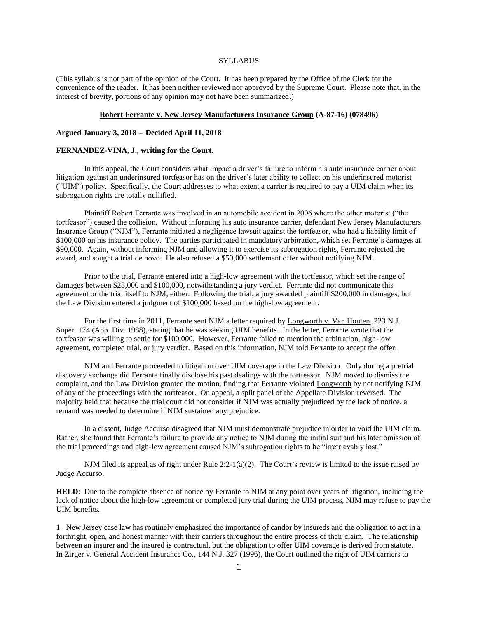## **SYLLABUS**

(This syllabus is not part of the opinion of the Court. It has been prepared by the Office of the Clerk for the convenience of the reader. It has been neither reviewed nor approved by the Supreme Court. Please note that, in the interest of brevity, portions of any opinion may not have been summarized.)

#### **Robert Ferrante v. New Jersey Manufacturers Insurance Group (A-87-16) (078496)**

## **Argued January 3, 2018 -- Decided April 11, 2018**

### **FERNANDEZ-VINA, J., writing for the Court.**

In this appeal, the Court considers what impact a driver's failure to inform his auto insurance carrier about litigation against an underinsured tortfeasor has on the driver's later ability to collect on his underinsured motorist ("UIM") policy. Specifically, the Court addresses to what extent a carrier is required to pay a UIM claim when its subrogation rights are totally nullified.

Plaintiff Robert Ferrante was involved in an automobile accident in 2006 where the other motorist ("the tortfeasor") caused the collision. Without informing his auto insurance carrier, defendant New Jersey Manufacturers Insurance Group ("NJM"), Ferrante initiated a negligence lawsuit against the tortfeasor, who had a liability limit of \$100,000 on his insurance policy. The parties participated in mandatory arbitration, which set Ferrante's damages at \$90,000. Again, without informing NJM and allowing it to exercise its subrogation rights, Ferrante rejected the award, and sought a trial de novo. He also refused a \$50,000 settlement offer without notifying NJM.

Prior to the trial, Ferrante entered into a high-low agreement with the tortfeasor, which set the range of damages between \$25,000 and \$100,000, notwithstanding a jury verdict. Ferrante did not communicate this agreement or the trial itself to NJM, either. Following the trial, a jury awarded plaintiff \$200,000 in damages, but the Law Division entered a judgment of \$100,000 based on the high-low agreement.

For the first time in 2011, Ferrante sent NJM a letter required by Longworth v. Van Houten, 223 N.J. Super. 174 (App. Div. 1988), stating that he was seeking UIM benefits. In the letter, Ferrante wrote that the tortfeasor was willing to settle for \$100,000. However, Ferrante failed to mention the arbitration, high-low agreement, completed trial, or jury verdict. Based on this information, NJM told Ferrante to accept the offer.

NJM and Ferrante proceeded to litigation over UIM coverage in the Law Division. Only during a pretrial discovery exchange did Ferrante finally disclose his past dealings with the tortfeasor. NJM moved to dismiss the complaint, and the Law Division granted the motion, finding that Ferrante violated Longworth by not notifying NJM of any of the proceedings with the tortfeasor. On appeal, a split panel of the Appellate Division reversed. The majority held that because the trial court did not consider if NJM was actually prejudiced by the lack of notice, a remand was needed to determine if NJM sustained any prejudice.

In a dissent, Judge Accurso disagreed that NJM must demonstrate prejudice in order to void the UIM claim. Rather, she found that Ferrante's failure to provide any notice to NJM during the initial suit and his later omission of the trial proceedings and high-low agreement caused NJM's subrogation rights to be "irretrievably lost."

NJM filed its appeal as of right under  $Rule 2:2-1(a)(2)$ . The Court's review is limited to the issue raised by Judge Accurso.

**HELD**: Due to the complete absence of notice by Ferrante to NJM at any point over years of litigation, including the lack of notice about the high-low agreement or completed jury trial during the UIM process, NJM may refuse to pay the UIM benefits.

1. New Jersey case law has routinely emphasized the importance of candor by insureds and the obligation to act in a forthright, open, and honest manner with their carriers throughout the entire process of their claim. The relationship between an insurer and the insured is contractual, but the obligation to offer UIM coverage is derived from statute. In Zirger v. General Accident Insurance Co., 144 N.J. 327 (1996), the Court outlined the right of UIM carriers to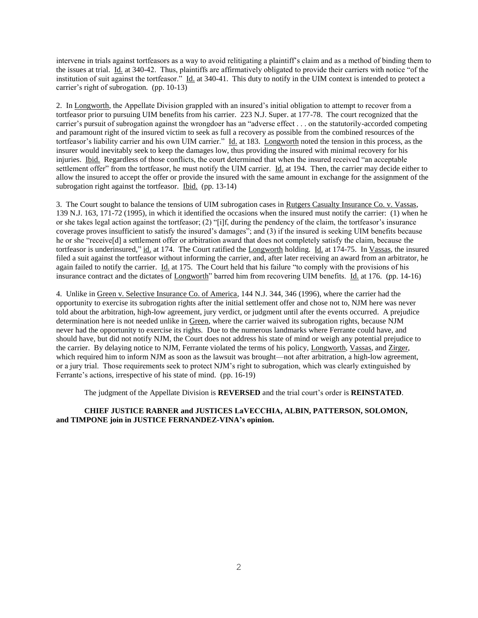intervene in trials against tortfeasors as a way to avoid relitigating a plaintiff's claim and as a method of binding them to the issues at trial. Id. at 340-42. Thus, plaintiffs are affirmatively obligated to provide their carriers with notice "of the institution of suit against the tortfeasor." Id. at 340-41. This duty to notify in the UIM context is intended to protect a carrier's right of subrogation. (pp. 10-13)

2. In Longworth, the Appellate Division grappled with an insured's initial obligation to attempt to recover from a tortfeasor prior to pursuing UIM benefits from his carrier. 223 N.J. Super. at 177-78. The court recognized that the carrier's pursuit of subrogation against the wrongdoer has an "adverse effect . . . on the statutorily-accorded competing and paramount right of the insured victim to seek as full a recovery as possible from the combined resources of the tortfeasor's liability carrier and his own UIM carrier." Id. at 183. Longworth noted the tension in this process, as the insurer would inevitably seek to keep the damages low, thus providing the insured with minimal recovery for his injuries. Ibid. Regardless of those conflicts, the court determined that when the insured received "an acceptable settlement offer" from the tortfeasor, he must notify the UIM carrier. Id. at 194. Then, the carrier may decide either to allow the insured to accept the offer or provide the insured with the same amount in exchange for the assignment of the subrogation right against the tortfeasor. Ibid. (pp. 13-14)

3. The Court sought to balance the tensions of UIM subrogation cases in Rutgers Casualty Insurance Co. v. Vassas, 139 N.J. 163, 171-72 (1995), in which it identified the occasions when the insured must notify the carrier: (1) when he or she takes legal action against the tortfeasor; (2) "[i]f, during the pendency of the claim, the tortfeasor's insurance coverage proves insufficient to satisfy the insured's damages"; and (3) if the insured is seeking UIM benefits because he or she "receive[d] a settlement offer or arbitration award that does not completely satisfy the claim, because the tortfeasor is underinsured," id. at 174. The Court ratified the Longworth holding. Id. at 174-75. In Vassas, the insured filed a suit against the tortfeasor without informing the carrier, and, after later receiving an award from an arbitrator, he again failed to notify the carrier. Id. at 175. The Court held that his failure "to comply with the provisions of his insurance contract and the dictates of Longworth" barred him from recovering UIM benefits. Id. at 176. (pp. 14-16)

4. Unlike in Green v. Selective Insurance Co. of America, 144 N.J. 344, 346 (1996), where the carrier had the opportunity to exercise its subrogation rights after the initial settlement offer and chose not to, NJM here was never told about the arbitration, high-low agreement, jury verdict, or judgment until after the events occurred. A prejudice determination here is not needed unlike in Green, where the carrier waived its subrogation rights, because NJM never had the opportunity to exercise its rights. Due to the numerous landmarks where Ferrante could have, and should have, but did not notify NJM, the Court does not address his state of mind or weigh any potential prejudice to the carrier. By delaying notice to NJM, Ferrante violated the terms of his policy, Longworth, Vassas, and Zirger, which required him to inform NJM as soon as the lawsuit was brought—not after arbitration, a high-low agreement, or a jury trial. Those requirements seek to protect NJM's right to subrogation, which was clearly extinguished by Ferrante's actions, irrespective of his state of mind. (pp. 16-19)

The judgment of the Appellate Division is **REVERSED** and the trial court's order is **REINSTATED**.

# **CHIEF JUSTICE RABNER and JUSTICES LaVECCHIA, ALBIN, PATTERSON, SOLOMON, and TIMPONE join in JUSTICE FERNANDEZ-VINA's opinion.**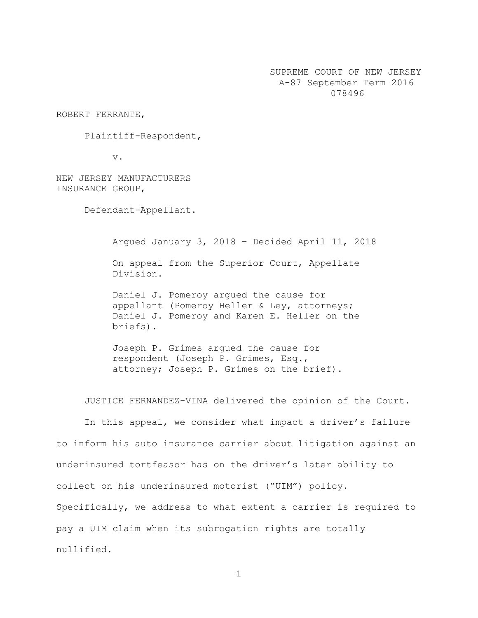SUPREME COURT OF NEW JERSEY A-87 September Term 2016 078496

ROBERT FERRANTE,

Plaintiff-Respondent,

v.

NEW JERSEY MANUFACTURERS INSURANCE GROUP,

Defendant-Appellant.

Argued January 3, 2018 – Decided April 11, 2018 On appeal from the Superior Court, Appellate Division.

Daniel J. Pomeroy argued the cause for appellant (Pomeroy Heller & Ley, attorneys; Daniel J. Pomeroy and Karen E. Heller on the briefs).

Joseph P. Grimes argued the cause for respondent (Joseph P. Grimes, Esq., attorney; Joseph P. Grimes on the brief).

JUSTICE FERNANDEZ-VINA delivered the opinion of the Court.

In this appeal, we consider what impact a driver's failure to inform his auto insurance carrier about litigation against an underinsured tortfeasor has on the driver's later ability to collect on his underinsured motorist ("UIM") policy. Specifically, we address to what extent a carrier is required to pay a UIM claim when its subrogation rights are totally nullified.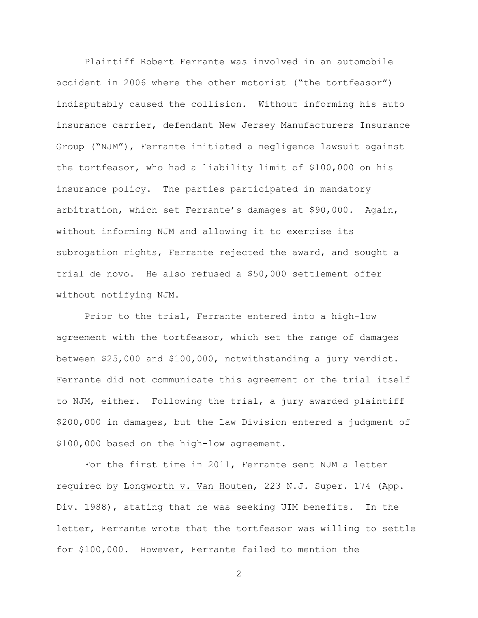Plaintiff Robert Ferrante was involved in an automobile accident in 2006 where the other motorist ("the tortfeasor") indisputably caused the collision. Without informing his auto insurance carrier, defendant New Jersey Manufacturers Insurance Group ("NJM"), Ferrante initiated a negligence lawsuit against the tortfeasor, who had a liability limit of \$100,000 on his insurance policy. The parties participated in mandatory arbitration, which set Ferrante's damages at \$90,000. Again, without informing NJM and allowing it to exercise its subrogation rights, Ferrante rejected the award, and sought a trial de novo. He also refused a \$50,000 settlement offer without notifying NJM.

Prior to the trial, Ferrante entered into a high-low agreement with the tortfeasor, which set the range of damages between \$25,000 and \$100,000, notwithstanding a jury verdict. Ferrante did not communicate this agreement or the trial itself to NJM, either. Following the trial, a jury awarded plaintiff \$200,000 in damages, but the Law Division entered a judgment of \$100,000 based on the high-low agreement.

For the first time in 2011, Ferrante sent NJM a letter required by Longworth v. Van Houten, 223 N.J. Super. 174 (App. Div. 1988), stating that he was seeking UIM benefits. In the letter, Ferrante wrote that the tortfeasor was willing to settle for \$100,000. However, Ferrante failed to mention the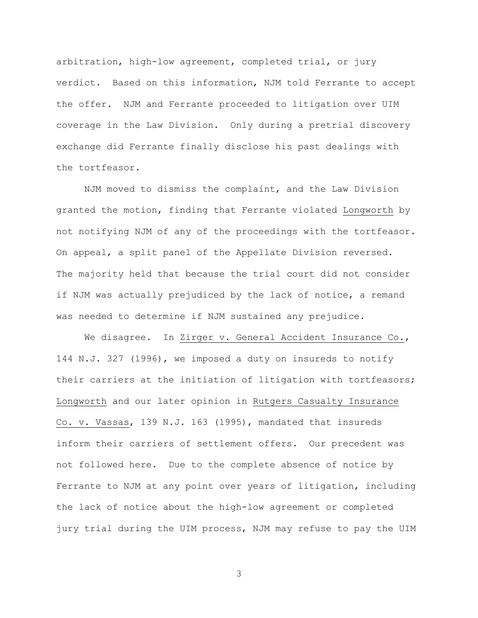arbitration, high-low agreement, completed trial, or jury verdict. Based on this information, NJM told Ferrante to accept the offer. NJM and Ferrante proceeded to litigation over UIM coverage in the Law Division. Only during a pretrial discovery exchange did Ferrante finally disclose his past dealings with the tortfeasor.

NJM moved to dismiss the complaint, and the Law Division granted the motion, finding that Ferrante violated Longworth by not notifying NJM of any of the proceedings with the tortfeasor. On appeal, a split panel of the Appellate Division reversed. The majority held that because the trial court did not consider if NJM was actually prejudiced by the lack of notice, a remand was needed to determine if NJM sustained any prejudice.

We disagree. In Zirger v. General Accident Insurance Co., 144 N.J. 327 (1996), we imposed a duty on insureds to notify their carriers at the initiation of litigation with tortfeasors; Longworth and our later opinion in Rutgers Casualty Insurance Co. v. Vassas, 139 N.J. 163 (1995), mandated that insureds inform their carriers of settlement offers. Our precedent was not followed here. Due to the complete absence of notice by Ferrante to NJM at any point over years of litigation, including the lack of notice about the high-low agreement or completed jury trial during the UIM process, NJM may refuse to pay the UIM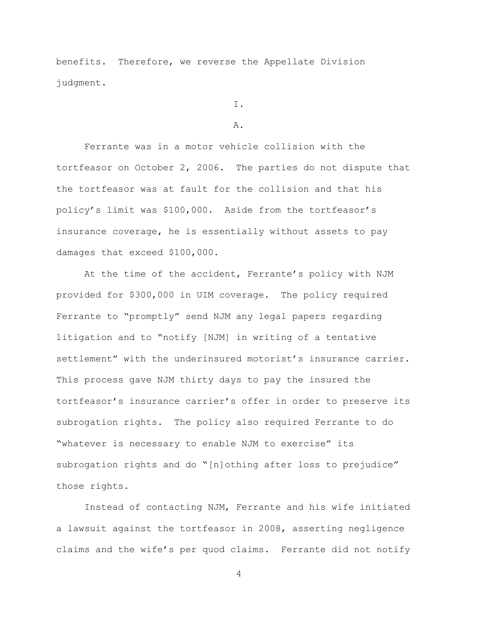benefits. Therefore, we reverse the Appellate Division judgment.

I.

#### A.

Ferrante was in a motor vehicle collision with the tortfeasor on October 2, 2006. The parties do not dispute that the tortfeasor was at fault for the collision and that his policy's limit was \$100,000. Aside from the tortfeasor's insurance coverage, he is essentially without assets to pay damages that exceed \$100,000.

At the time of the accident, Ferrante's policy with NJM provided for \$300,000 in UIM coverage. The policy required Ferrante to "promptly" send NJM any legal papers regarding litigation and to "notify [NJM] in writing of a tentative settlement" with the underinsured motorist's insurance carrier. This process gave NJM thirty days to pay the insured the tortfeasor's insurance carrier's offer in order to preserve its subrogation rights. The policy also required Ferrante to do "whatever is necessary to enable NJM to exercise" its subrogation rights and do "[n]othing after loss to prejudice" those rights.

Instead of contacting NJM, Ferrante and his wife initiated a lawsuit against the tortfeasor in 2008, asserting negligence claims and the wife's per quod claims. Ferrante did not notify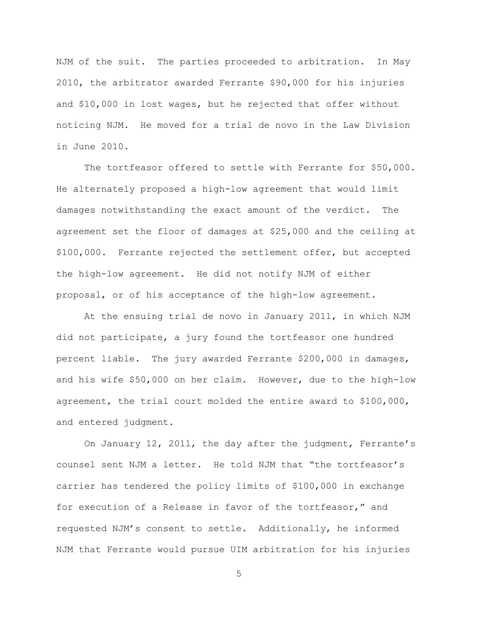NJM of the suit. The parties proceeded to arbitration. In May 2010, the arbitrator awarded Ferrante \$90,000 for his injuries and \$10,000 in lost wages, but he rejected that offer without noticing NJM. He moved for a trial de novo in the Law Division in June 2010.

The tortfeasor offered to settle with Ferrante for \$50,000. He alternately proposed a high-low agreement that would limit damages notwithstanding the exact amount of the verdict. The agreement set the floor of damages at \$25,000 and the ceiling at \$100,000. Ferrante rejected the settlement offer, but accepted the high-low agreement. He did not notify NJM of either proposal, or of his acceptance of the high-low agreement.

At the ensuing trial de novo in January 2011, in which NJM did not participate, a jury found the tortfeasor one hundred percent liable. The jury awarded Ferrante \$200,000 in damages, and his wife \$50,000 on her claim. However, due to the high-low agreement, the trial court molded the entire award to \$100,000, and entered judgment.

On January 12, 2011, the day after the judgment, Ferrante's counsel sent NJM a letter. He told NJM that "the tortfeasor's carrier has tendered the policy limits of \$100,000 in exchange for execution of a Release in favor of the tortfeasor," and requested NJM's consent to settle. Additionally, he informed NJM that Ferrante would pursue UIM arbitration for his injuries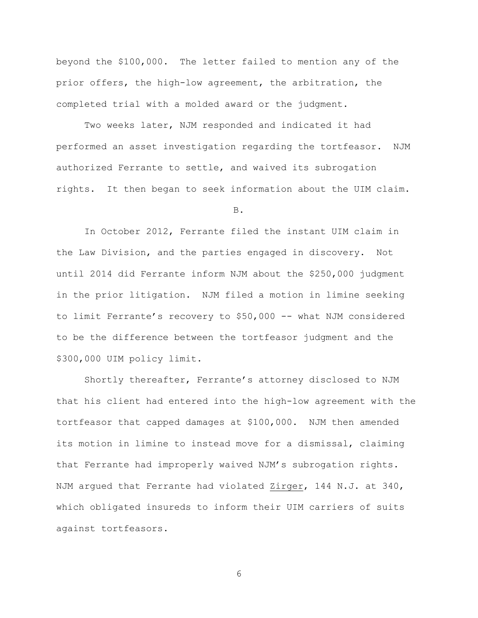beyond the \$100,000. The letter failed to mention any of the prior offers, the high-low agreement, the arbitration, the completed trial with a molded award or the judgment.

Two weeks later, NJM responded and indicated it had performed an asset investigation regarding the tortfeasor. NJM authorized Ferrante to settle, and waived its subrogation rights. It then began to seek information about the UIM claim.

B.

In October 2012, Ferrante filed the instant UIM claim in the Law Division, and the parties engaged in discovery. Not until 2014 did Ferrante inform NJM about the \$250,000 judgment in the prior litigation. NJM filed a motion in limine seeking to limit Ferrante's recovery to \$50,000 -- what NJM considered to be the difference between the tortfeasor judgment and the \$300,000 UIM policy limit.

Shortly thereafter, Ferrante's attorney disclosed to NJM that his client had entered into the high-low agreement with the tortfeasor that capped damages at \$100,000. NJM then amended its motion in limine to instead move for a dismissal, claiming that Ferrante had improperly waived NJM's subrogation rights. NJM argued that Ferrante had violated Zirger, 144 N.J. at 340, which obligated insureds to inform their UIM carriers of suits against tortfeasors.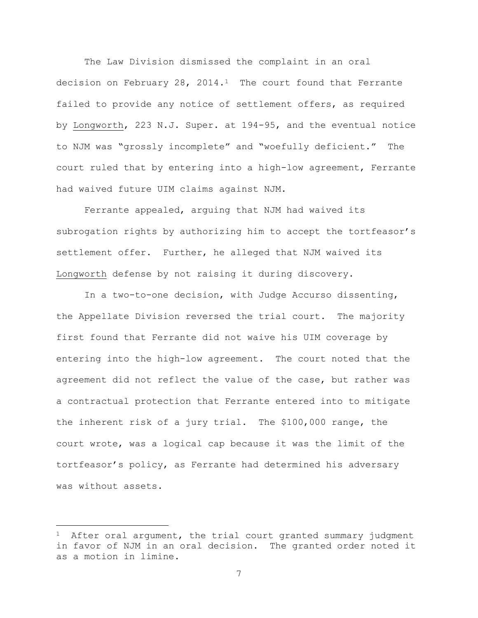The Law Division dismissed the complaint in an oral decision on February 28, 2014.<sup>1</sup> The court found that Ferrante failed to provide any notice of settlement offers, as required by Longworth, 223 N.J. Super. at 194-95, and the eventual notice to NJM was "grossly incomplete" and "woefully deficient." The court ruled that by entering into a high-low agreement, Ferrante had waived future UIM claims against NJM.

Ferrante appealed, arguing that NJM had waived its subrogation rights by authorizing him to accept the tortfeasor's settlement offer. Further, he alleged that NJM waived its Longworth defense by not raising it during discovery.

In a two-to-one decision, with Judge Accurso dissenting, the Appellate Division reversed the trial court. The majority first found that Ferrante did not waive his UIM coverage by entering into the high-low agreement. The court noted that the agreement did not reflect the value of the case, but rather was a contractual protection that Ferrante entered into to mitigate the inherent risk of a jury trial. The \$100,000 range, the court wrote, was a logical cap because it was the limit of the tortfeasor's policy, as Ferrante had determined his adversary was without assets.

a<br>B

After oral argument, the trial court granted summary judgment in favor of NJM in an oral decision. The granted order noted it as a motion in limine.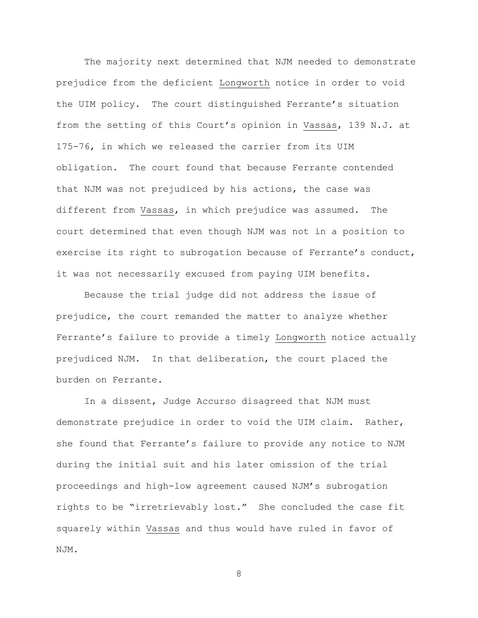The majority next determined that NJM needed to demonstrate prejudice from the deficient Longworth notice in order to void the UIM policy. The court distinguished Ferrante's situation from the setting of this Court's opinion in Vassas, 139 N.J. at 175-76, in which we released the carrier from its UIM obligation. The court found that because Ferrante contended that NJM was not prejudiced by his actions, the case was different from Vassas, in which prejudice was assumed. The court determined that even though NJM was not in a position to exercise its right to subrogation because of Ferrante's conduct, it was not necessarily excused from paying UIM benefits.

Because the trial judge did not address the issue of prejudice, the court remanded the matter to analyze whether Ferrante's failure to provide a timely Longworth notice actually prejudiced NJM. In that deliberation, the court placed the burden on Ferrante.

In a dissent, Judge Accurso disagreed that NJM must demonstrate prejudice in order to void the UIM claim. Rather, she found that Ferrante's failure to provide any notice to NJM during the initial suit and his later omission of the trial proceedings and high-low agreement caused NJM's subrogation rights to be "irretrievably lost." She concluded the case fit squarely within Vassas and thus would have ruled in favor of NJM.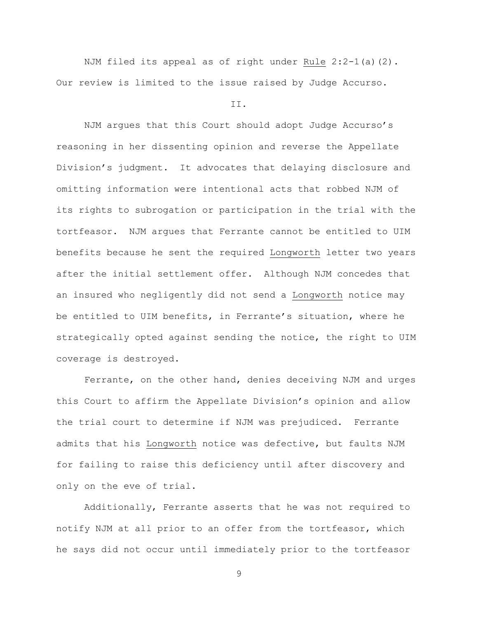NJM filed its appeal as of right under Rule 2:2-1(a)(2). Our review is limited to the issue raised by Judge Accurso.

## II.

NJM argues that this Court should adopt Judge Accurso's reasoning in her dissenting opinion and reverse the Appellate Division's judgment. It advocates that delaying disclosure and omitting information were intentional acts that robbed NJM of its rights to subrogation or participation in the trial with the tortfeasor. NJM argues that Ferrante cannot be entitled to UIM benefits because he sent the required Longworth letter two years after the initial settlement offer. Although NJM concedes that an insured who negligently did not send a Longworth notice may be entitled to UIM benefits, in Ferrante's situation, where he strategically opted against sending the notice, the right to UIM coverage is destroyed.

Ferrante, on the other hand, denies deceiving NJM and urges this Court to affirm the Appellate Division's opinion and allow the trial court to determine if NJM was prejudiced. Ferrante admits that his Longworth notice was defective, but faults NJM for failing to raise this deficiency until after discovery and only on the eve of trial.

Additionally, Ferrante asserts that he was not required to notify NJM at all prior to an offer from the tortfeasor, which he says did not occur until immediately prior to the tortfeasor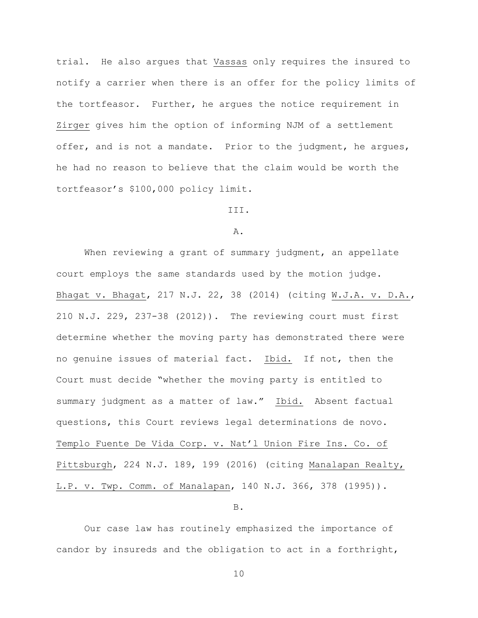trial. He also argues that Vassas only requires the insured to notify a carrier when there is an offer for the policy limits of the tortfeasor. Further, he argues the notice requirement in Zirger gives him the option of informing NJM of a settlement offer, and is not a mandate. Prior to the judgment, he arques, he had no reason to believe that the claim would be worth the tortfeasor's \$100,000 policy limit.

III.

A.

When reviewing a grant of summary judgment, an appellate court employs the same standards used by the motion judge. Bhagat v. Bhagat, 217 N.J. 22, 38 (2014) (citing W.J.A. v. D.A., 210 N.J. 229, 237-38 (2012)). The reviewing court must first determine whether the moving party has demonstrated there were no genuine issues of material fact. Ibid. If not, then the Court must decide "whether the moving party is entitled to summary judgment as a matter of law." Ibid. Absent factual questions, this Court reviews legal determinations de novo. Templo Fuente De Vida Corp. v. Nat'l Union Fire Ins. Co. of Pittsburgh, 224 N.J. 189, 199 (2016) (citing Manalapan Realty, L.P. v. Twp. Comm. of Manalapan, 140 N.J. 366, 378 (1995)).

B.

Our case law has routinely emphasized the importance of candor by insureds and the obligation to act in a forthright,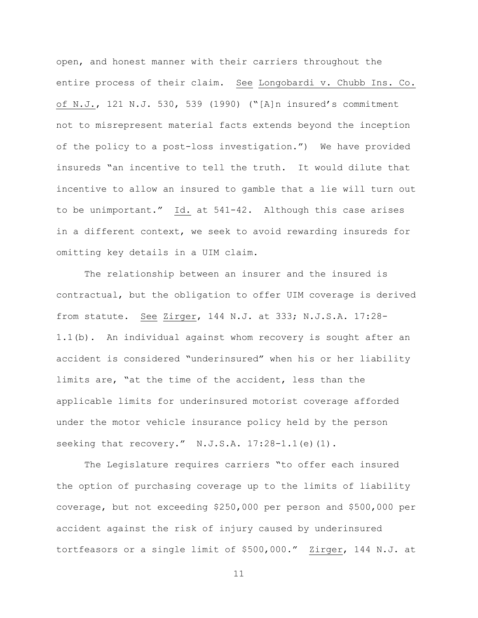open, and honest manner with their carriers throughout the entire process of their claim. See Longobardi v. Chubb Ins. Co. of N.J., 121 N.J. 530, 539 (1990) ("[A]n insured's commitment not to misrepresent material facts extends beyond the inception of the policy to a post-loss investigation.") We have provided insureds "an incentive to tell the truth. It would dilute that incentive to allow an insured to gamble that a lie will turn out to be unimportant." Id. at 541-42. Although this case arises in a different context, we seek to avoid rewarding insureds for omitting key details in a UIM claim.

The relationship between an insurer and the insured is contractual, but the obligation to offer UIM coverage is derived from statute. See Zirger, 144 N.J. at 333; N.J.S.A. 17:28- 1.1(b). An individual against whom recovery is sought after an accident is considered "underinsured" when his or her liability limits are, "at the time of the accident, less than the applicable limits for underinsured motorist coverage afforded under the motor vehicle insurance policy held by the person seeking that recovery." N.J.S.A.  $17:28-1.1$  (e)(1).

The Legislature requires carriers "to offer each insured the option of purchasing coverage up to the limits of liability coverage, but not exceeding \$250,000 per person and \$500,000 per accident against the risk of injury caused by underinsured tortfeasors or a single limit of \$500,000." Zirger, 144 N.J. at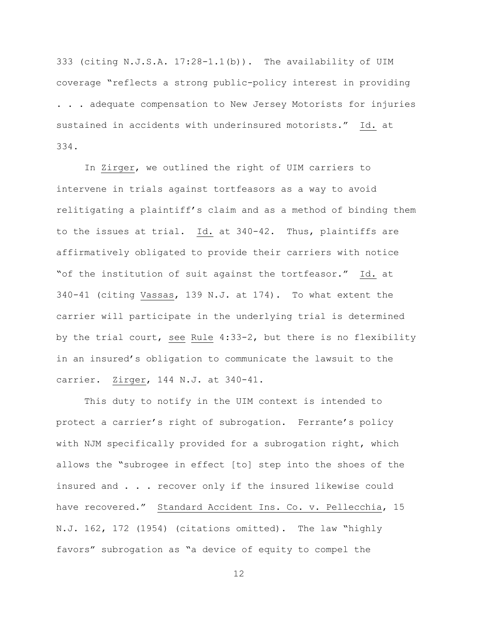333 (citing N.J.S.A. 17:28-1.1(b)). The availability of UIM coverage "reflects a strong public-policy interest in providing . . . adequate compensation to New Jersey Motorists for injuries sustained in accidents with underinsured motorists." Id. at 334.

In Zirger, we outlined the right of UIM carriers to intervene in trials against tortfeasors as a way to avoid relitigating a plaintiff's claim and as a method of binding them to the issues at trial. Id. at 340-42. Thus, plaintiffs are affirmatively obligated to provide their carriers with notice "of the institution of suit against the tortfeasor." Id. at 340-41 (citing Vassas, 139 N.J. at 174). To what extent the carrier will participate in the underlying trial is determined by the trial court, see Rule 4:33-2, but there is no flexibility in an insured's obligation to communicate the lawsuit to the carrier. Zirger, 144 N.J. at 340-41.

This duty to notify in the UIM context is intended to protect a carrier's right of subrogation. Ferrante's policy with NJM specifically provided for a subrogation right, which allows the "subrogee in effect [to] step into the shoes of the insured and . . . recover only if the insured likewise could have recovered." Standard Accident Ins. Co. v. Pellecchia, 15 N.J. 162, 172 (1954) (citations omitted). The law "highly favors" subrogation as "a device of equity to compel the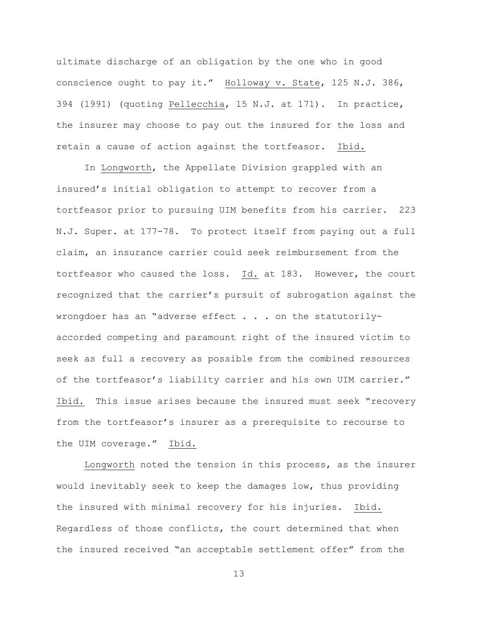ultimate discharge of an obligation by the one who in good conscience ought to pay it." Holloway v. State, 125 N.J. 386, 394 (1991) (quoting Pellecchia, 15 N.J. at 171). In practice, the insurer may choose to pay out the insured for the loss and retain a cause of action against the tortfeasor. Ibid.

In Longworth, the Appellate Division grappled with an insured's initial obligation to attempt to recover from a tortfeasor prior to pursuing UIM benefits from his carrier. 223 N.J. Super. at 177-78. To protect itself from paying out a full claim, an insurance carrier could seek reimbursement from the tortfeasor who caused the loss. Id. at 183. However, the court recognized that the carrier's pursuit of subrogation against the wrongdoer has an "adverse effect . . . on the statutorilyaccorded competing and paramount right of the insured victim to seek as full a recovery as possible from the combined resources of the tortfeasor's liability carrier and his own UIM carrier." Ibid. This issue arises because the insured must seek "recovery from the tortfeasor's insurer as a prerequisite to recourse to the UIM coverage." Ibid.

Longworth noted the tension in this process, as the insurer would inevitably seek to keep the damages low, thus providing the insured with minimal recovery for his injuries. Ibid. Regardless of those conflicts, the court determined that when the insured received "an acceptable settlement offer" from the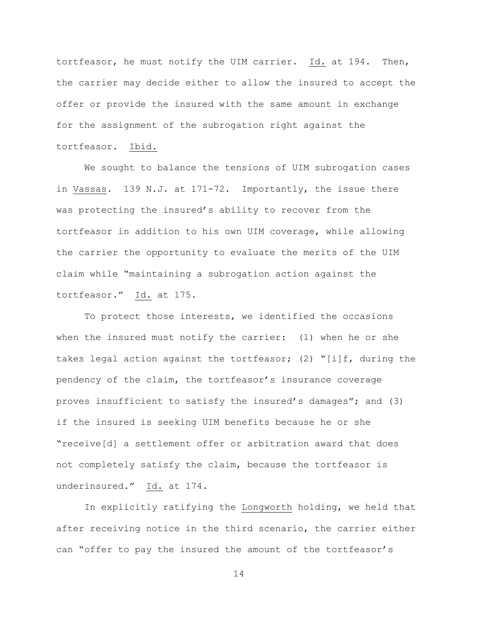tortfeasor, he must notify the UIM carrier. Id. at 194. Then, the carrier may decide either to allow the insured to accept the offer or provide the insured with the same amount in exchange for the assignment of the subrogation right against the tortfeasor. Ibid.

We sought to balance the tensions of UIM subrogation cases in Vassas. 139 N.J. at 171-72. Importantly, the issue there was protecting the insured's ability to recover from the tortfeasor in addition to his own UIM coverage, while allowing the carrier the opportunity to evaluate the merits of the UIM claim while "maintaining a subrogation action against the tortfeasor." Id. at 175.

To protect those interests, we identified the occasions when the insured must notify the carrier: (1) when he or she takes legal action against the tortfeasor; (2) "[i]f, during the pendency of the claim, the tortfeasor's insurance coverage proves insufficient to satisfy the insured's damages"; and (3) if the insured is seeking UIM benefits because he or she "receive[d] a settlement offer or arbitration award that does not completely satisfy the claim, because the tortfeasor is underinsured." Id. at 174.

In explicitly ratifying the Longworth holding, we held that after receiving notice in the third scenario, the carrier either can "offer to pay the insured the amount of the tortfeasor's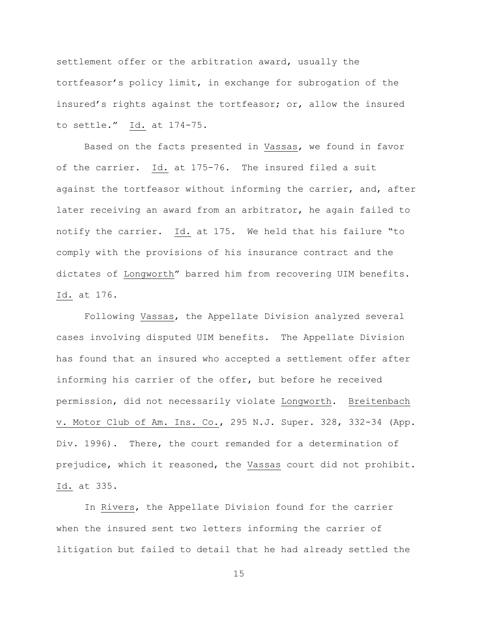settlement offer or the arbitration award, usually the tortfeasor's policy limit, in exchange for subrogation of the insured's rights against the tortfeasor; or, allow the insured to settle." Id. at 174-75.

Based on the facts presented in Vassas, we found in favor of the carrier. Id. at 175-76. The insured filed a suit against the tortfeasor without informing the carrier, and, after later receiving an award from an arbitrator, he again failed to notify the carrier. Id. at 175. We held that his failure "to comply with the provisions of his insurance contract and the dictates of Longworth" barred him from recovering UIM benefits. Id. at 176.

Following Vassas, the Appellate Division analyzed several cases involving disputed UIM benefits. The Appellate Division has found that an insured who accepted a settlement offer after informing his carrier of the offer, but before he received permission, did not necessarily violate Longworth. Breitenbach v. Motor Club of Am. Ins. Co., 295 N.J. Super. 328, 332-34 (App. Div. 1996). There, the court remanded for a determination of prejudice, which it reasoned, the Vassas court did not prohibit. Id. at 335.

In Rivers, the Appellate Division found for the carrier when the insured sent two letters informing the carrier of litigation but failed to detail that he had already settled the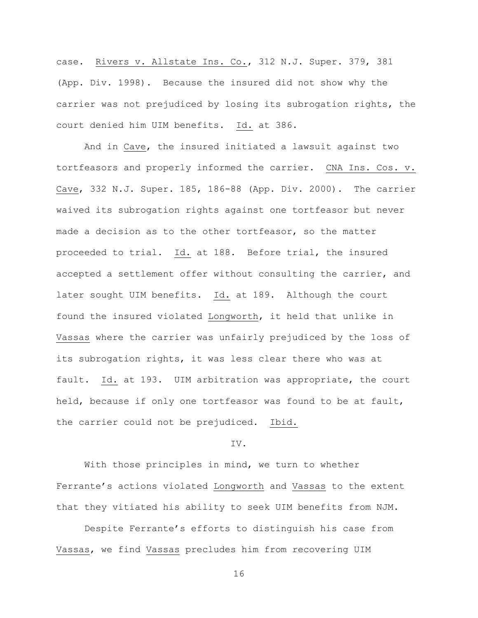case. Rivers v. Allstate Ins. Co., 312 N.J. Super. 379, 381 (App. Div. 1998). Because the insured did not show why the carrier was not prejudiced by losing its subrogation rights, the court denied him UIM benefits. Id. at 386.

And in Cave, the insured initiated a lawsuit against two tortfeasors and properly informed the carrier. CNA Ins. Cos. v. Cave, 332 N.J. Super. 185, 186-88 (App. Div. 2000). The carrier waived its subrogation rights against one tortfeasor but never made a decision as to the other tortfeasor, so the matter proceeded to trial. Id. at 188. Before trial, the insured accepted a settlement offer without consulting the carrier, and later sought UIM benefits. Id. at 189. Although the court found the insured violated Longworth, it held that unlike in Vassas where the carrier was unfairly prejudiced by the loss of its subrogation rights, it was less clear there who was at fault. Id. at 193. UIM arbitration was appropriate, the court held, because if only one tortfeasor was found to be at fault, the carrier could not be prejudiced. Ibid.

## IV.

With those principles in mind, we turn to whether Ferrante's actions violated Longworth and Vassas to the extent that they vitiated his ability to seek UIM benefits from NJM.

Despite Ferrante's efforts to distinguish his case from Vassas, we find Vassas precludes him from recovering UIM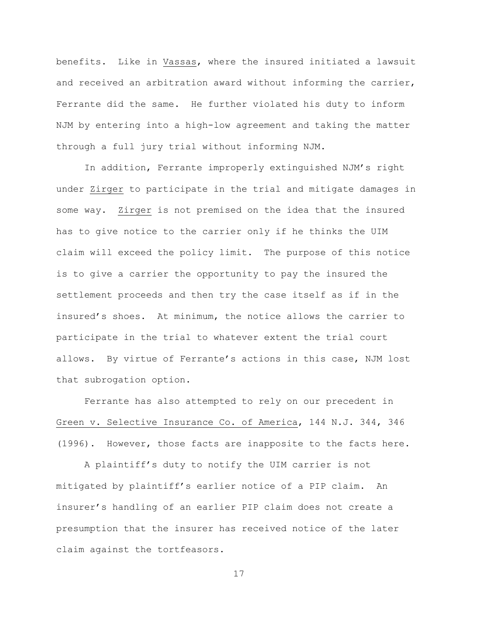benefits. Like in Vassas, where the insured initiated a lawsuit and received an arbitration award without informing the carrier, Ferrante did the same. He further violated his duty to inform NJM by entering into a high-low agreement and taking the matter through a full jury trial without informing NJM.

In addition, Ferrante improperly extinguished NJM's right under Zirger to participate in the trial and mitigate damages in some way. Zirger is not premised on the idea that the insured has to give notice to the carrier only if he thinks the UIM claim will exceed the policy limit. The purpose of this notice is to give a carrier the opportunity to pay the insured the settlement proceeds and then try the case itself as if in the insured's shoes. At minimum, the notice allows the carrier to participate in the trial to whatever extent the trial court allows. By virtue of Ferrante's actions in this case, NJM lost that subrogation option.

Ferrante has also attempted to rely on our precedent in Green v. Selective Insurance Co. of America, 144 N.J. 344, 346 (1996). However, those facts are inapposite to the facts here.

A plaintiff's duty to notify the UIM carrier is not mitigated by plaintiff's earlier notice of a PIP claim. An insurer's handling of an earlier PIP claim does not create a presumption that the insurer has received notice of the later claim against the tortfeasors.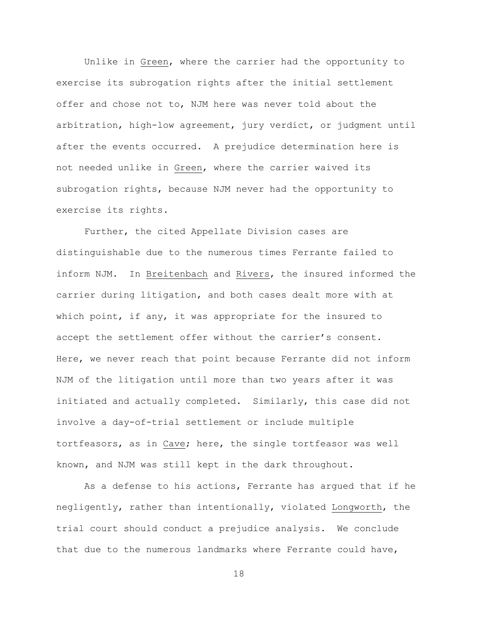Unlike in Green, where the carrier had the opportunity to exercise its subrogation rights after the initial settlement offer and chose not to, NJM here was never told about the arbitration, high-low agreement, jury verdict, or judgment until after the events occurred. A prejudice determination here is not needed unlike in Green, where the carrier waived its subrogation rights, because NJM never had the opportunity to exercise its rights.

Further, the cited Appellate Division cases are distinguishable due to the numerous times Ferrante failed to inform NJM. In Breitenbach and Rivers, the insured informed the carrier during litigation, and both cases dealt more with at which point, if any, it was appropriate for the insured to accept the settlement offer without the carrier's consent. Here, we never reach that point because Ferrante did not inform NJM of the litigation until more than two years after it was initiated and actually completed. Similarly, this case did not involve a day-of-trial settlement or include multiple tortfeasors, as in Cave; here, the single tortfeasor was well known, and NJM was still kept in the dark throughout.

As a defense to his actions, Ferrante has argued that if he negligently, rather than intentionally, violated Longworth, the trial court should conduct a prejudice analysis. We conclude that due to the numerous landmarks where Ferrante could have,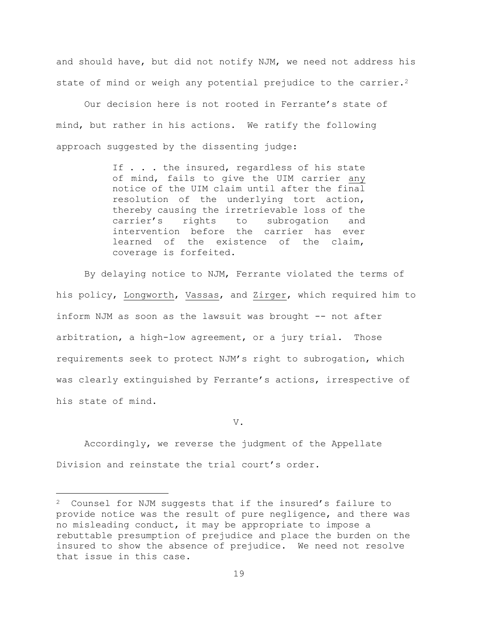and should have, but did not notify NJM, we need not address his state of mind or weigh any potential prejudice to the carrier.<sup>2</sup>

Our decision here is not rooted in Ferrante's state of mind, but rather in his actions. We ratify the following approach suggested by the dissenting judge:

> If . . . the insured, regardless of his state of mind, fails to give the UIM carrier any notice of the UIM claim until after the final resolution of the underlying tort action, thereby causing the irretrievable loss of the carrier's rights to subrogation and intervention before the carrier has ever learned of the existence of the claim, coverage is forfeited.

By delaying notice to NJM, Ferrante violated the terms of his policy, Longworth, Vassas, and Zirger, which required him to inform NJM as soon as the lawsuit was brought -- not after arbitration, a high-low agreement, or a jury trial. Those requirements seek to protect NJM's right to subrogation, which was clearly extinguished by Ferrante's actions, irrespective of his state of mind.

V.

Accordingly, we reverse the judgment of the Appellate Division and reinstate the trial court's order.

L,

<sup>2</sup> Counsel for NJM suggests that if the insured's failure to provide notice was the result of pure negligence, and there was no misleading conduct, it may be appropriate to impose a rebuttable presumption of prejudice and place the burden on the insured to show the absence of prejudice. We need not resolve that issue in this case.